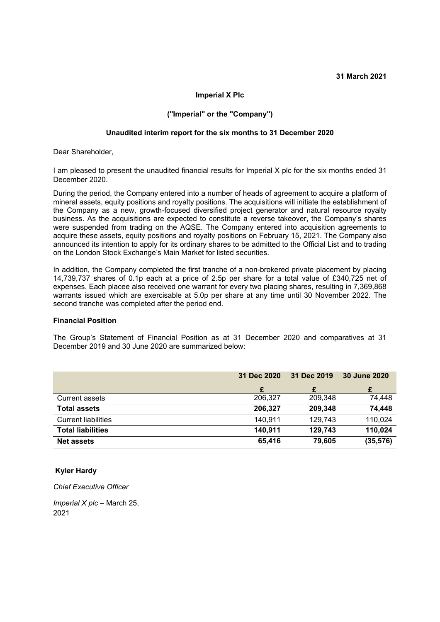#### **Imperial X Plc**

### **("Imperial" or the "Company")**

#### **Unaudited interim report for the six months to 31 December 2020**

Dear Shareholder,

I am pleased to present the unaudited financial results for Imperial X plc for the six months ended 31 December 2020.

During the period, the Company entered into a number of heads of agreement to acquire a platform of mineral assets, equity positions and royalty positions. The acquisitions will initiate the establishment of the Company as a new, growth-focused diversified project generator and natural resource royalty business. As the acquisitions are expected to constitute a reverse takeover, the Company's shares were suspended from trading on the AQSE. The Company entered into acquisition agreements to acquire these assets, equity positions and royalty positions on February 15, 2021. The Company also announced its intention to apply for its ordinary shares to be admitted to the Official List and to trading on the London Stock Exchange's Main Market for listed securities.

In addition, the Company completed the first tranche of a non-brokered private placement by placing 14,739,737 shares of 0.1p each at a price of 2.5p per share for a total value of £340,725 net of expenses. Each placee also received one warrant for every two placing shares, resulting in 7,369,868 warrants issued which are exercisable at 5.0p per share at any time until 30 November 2022. The second tranche was completed after the period end.

#### **Financial Position**

The Group's Statement of Financial Position as at 31 December 2020 and comparatives at 31 December 2019 and 30 June 2020 are summarized below:

|                            | 31 Dec 2020 | 31 Dec 2019 | 30 June 2020 |
|----------------------------|-------------|-------------|--------------|
|                            |             |             |              |
| <b>Current assets</b>      | 206,327     | 209,348     | 74,448       |
| <b>Total assets</b>        | 206,327     | 209,348     | 74,448       |
| <b>Current liabilities</b> | 140,911     | 129,743     | 110,024      |
| <b>Total liabilities</b>   | 140,911     | 129,743     | 110,024      |
| <b>Net assets</b>          | 65,416      | 79,605      | (35, 576)    |

#### **Kyler Hardy**

*Chief Executive Officer*

*Imperial X plc –* March 25, 2021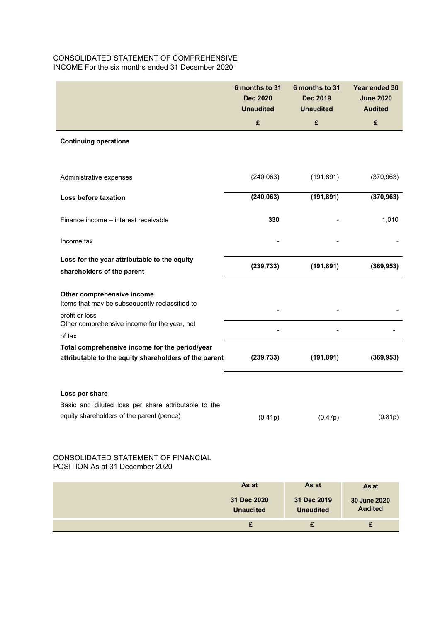# CONSOLIDATED STATEMENT OF COMPREHENSIVE INCOME For the six months ended 31 December 2020

|                                                                                                   | 6 months to 31<br><b>Dec 2020</b><br><b>Unaudited</b> | 6 months to 31<br><b>Dec 2019</b><br><b>Unaudited</b> | Year ended 30<br><b>June 2020</b><br><b>Audited</b> |
|---------------------------------------------------------------------------------------------------|-------------------------------------------------------|-------------------------------------------------------|-----------------------------------------------------|
|                                                                                                   | £                                                     | £                                                     | £                                                   |
| <b>Continuing operations</b>                                                                      |                                                       |                                                       |                                                     |
|                                                                                                   |                                                       |                                                       |                                                     |
| Administrative expenses                                                                           | (240,063)                                             | (191, 891)                                            | (370, 963)                                          |
| Loss before taxation                                                                              | (240, 063)                                            | (191, 891)                                            | (370, 963)                                          |
| Finance income - interest receivable                                                              | 330                                                   |                                                       | 1,010                                               |
| Income tax                                                                                        |                                                       |                                                       |                                                     |
| Loss for the year attributable to the equity<br>shareholders of the parent                        | (239, 733)                                            | (191, 891)                                            | (369, 953)                                          |
| Other comprehensive income                                                                        |                                                       |                                                       |                                                     |
| Items that may be subsequently reclassified to<br>profit or loss                                  |                                                       |                                                       |                                                     |
| Other comprehensive income for the year, net<br>of tax                                            |                                                       |                                                       |                                                     |
| Total comprehensive income for the period/year                                                    |                                                       |                                                       |                                                     |
| attributable to the equity shareholders of the parent                                             | (239, 733)                                            | (191, 891)                                            | (369, 953)                                          |
|                                                                                                   |                                                       |                                                       |                                                     |
| Loss per share                                                                                    |                                                       |                                                       |                                                     |
| Basic and diluted loss per share attributable to the<br>equity shareholders of the parent (pence) | (0.41p)                                               | (0.47p)                                               | (0.81p)                                             |

## CONSOLIDATED STATEMENT OF FINANCIAL POSITION As at 31 December 2020

| As at                           | As at                           | As at                          |
|---------------------------------|---------------------------------|--------------------------------|
| 31 Dec 2020<br><b>Unaudited</b> | 31 Dec 2019<br><b>Unaudited</b> | 30 June 2020<br><b>Audited</b> |
| £                               |                                 |                                |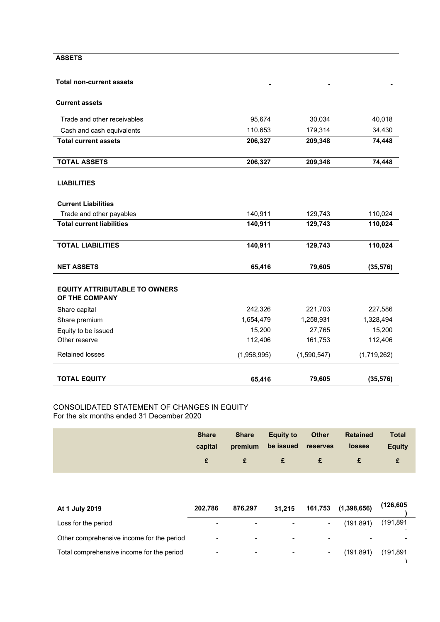### **ASSETS**

### **Total non-current assets**

## **Current assets**

| <b>TOTAL EQUITY</b>                                    | 65,416      | 79,605      | (35, 576)   |
|--------------------------------------------------------|-------------|-------------|-------------|
| <b>Retained losses</b>                                 | (1,958,995) | (1,590,547) | (1,719,262) |
| Other reserve                                          | 112,406     | 161,753     | 112,406     |
| Equity to be issued                                    | 15,200      | 27,765      | 15,200      |
| Share premium                                          | 1,654,479   | 1,258,931   | 1,328,494   |
| Share capital                                          | 242,326     | 221,703     | 227,586     |
| <b>EQUITY ATTRIBUTABLE TO OWNERS</b><br>OF THE COMPANY |             |             |             |
| <b>NET ASSETS</b>                                      | 65,416      | 79,605      | (35, 576)   |
| <b>TOTAL LIABILITIES</b>                               | 140,911     | 129,743     | 110,024     |
|                                                        |             |             |             |
| <b>Total current liabilities</b>                       | 140,911     | 129,743     | 110,024     |
| <b>Current Liabilities</b><br>Trade and other payables | 140,911     | 129,743     | 110,024     |
| <b>LIABILITIES</b>                                     |             |             |             |
| <b>TOTAL ASSETS</b>                                    | 206,327     | 209,348     | 74,448      |
| <b>Total current assets</b>                            | 206,327     | 209,348     | 74,448      |
| Cash and cash equivalents                              | 110,653     | 179,314     | 34,430      |
| Trade and other receivables                            | 95,674      | 30,034      | 40,018      |
|                                                        |             |             |             |

**- - -**

#### CONSOLIDATED STATEMENT OF CHANGES IN EQUITY For the six months ended 31 December 2020

| <b>Share</b><br>capital | <b>Share</b> | <b>Equity to</b><br>premium be issued reserves | <b>Other</b> | <b>Retained</b><br>losses | <b>Total</b><br><b>Equity</b> |
|-------------------------|--------------|------------------------------------------------|--------------|---------------------------|-------------------------------|
|                         | $\mathbf{f}$ | $\blacksquare$ $\blacksquare$                  | £            | £                         | £                             |

| At 1 July 2019                            | 202.786        | 876.297 | 31.215 | 161,753                  | (1, 398, 656) | (126, 605) |
|-------------------------------------------|----------------|---------|--------|--------------------------|---------------|------------|
| Loss for the period                       |                |         |        | $\overline{\phantom{0}}$ | (191,891)     | (191, 891) |
| Other comprehensive income for the period | $\blacksquare$ | -       |        | $\sim$                   |               |            |
| Total comprehensive income for the period | $\blacksquare$ | -       |        | $\blacksquare$           | (191, 891)    | (191,891   |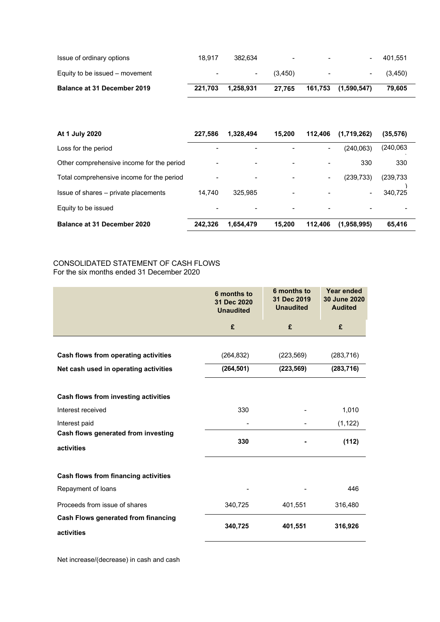| <b>Balance at 31 December 2019</b> | 221.703                  | 1.258.931 | 27.765  |                          | 161,753 (1,590,547)      | 79.605   |
|------------------------------------|--------------------------|-----------|---------|--------------------------|--------------------------|----------|
| Equity to be issued – movement     | $\overline{\phantom{a}}$ | $\sim$    | (3.450) | $\blacksquare$           | $\overline{\phantom{0}}$ | (3, 450) |
| Issue of ordinary options          | 18.917                   | 382.634   | $\,$    | $\overline{\phantom{a}}$ |                          | 401.551  |

| At 1 July 2020                            | 227.586                  | 1,328,494                | 15.200                   | 112.406 | (1,719,262)              | (35,576)   |
|-------------------------------------------|--------------------------|--------------------------|--------------------------|---------|--------------------------|------------|
| Loss for the period                       | -                        | -                        |                          |         | (240,063)                | (240.063)  |
| Other comprehensive income for the period | $\overline{\phantom{a}}$ | $\overline{\phantom{0}}$ | $\overline{\phantom{a}}$ |         | 330                      | 330        |
| Total comprehensive income for the period | -                        | $\overline{\phantom{0}}$ | $\overline{\phantom{0}}$ |         | (239,733)                | (239, 733) |
| Issue of shares – private placements      | 14.740                   | 325.985                  | $\overline{\phantom{a}}$ |         | $\overline{\phantom{0}}$ | 340,725    |
| Equity to be issued                       |                          |                          |                          |         |                          |            |
| <b>Balance at 31 December 2020</b>        | 242.326                  | 1,654,479                | 15.200                   | 112.406 | (1,958,995)              | 65,416     |

## CONSOLIDATED STATEMENT OF CASH FLOWS For the six months ended 31 December 2020

|                                       | 6 months to<br>31 Dec 2020<br><b>Unaudited</b> | 6 months to<br>31 Dec 2019<br><b>Unaudited</b> | Year ended<br>30 June 2020<br><b>Audited</b> |  |
|---------------------------------------|------------------------------------------------|------------------------------------------------|----------------------------------------------|--|
|                                       | £                                              | £                                              | £                                            |  |
|                                       |                                                |                                                |                                              |  |
| Cash flows from operating activities  | (264, 832)                                     | (223, 569)                                     | (283, 716)                                   |  |
| Net cash used in operating activities | (264, 501)                                     | (223, 569)                                     | (283, 716)                                   |  |
|                                       |                                                |                                                |                                              |  |
| Cash flows from investing activities  |                                                |                                                |                                              |  |
| Interest received                     | 330                                            |                                                | 1,010                                        |  |
| Interest paid                         |                                                |                                                | (1, 122)                                     |  |
| Cash flows generated from investing   | 330                                            |                                                | (112)                                        |  |
| activities                            |                                                |                                                |                                              |  |
|                                       |                                                |                                                |                                              |  |
| Cash flows from financing activities  |                                                |                                                |                                              |  |
| Repayment of loans                    |                                                |                                                | 446                                          |  |
| Proceeds from issue of shares         | 340,725                                        | 401,551                                        | 316,480                                      |  |
| Cash Flows generated from financing   | 340,725                                        | 401,551                                        | 316,926                                      |  |
| activities                            |                                                |                                                |                                              |  |

Net increase/(decrease) in cash and cash